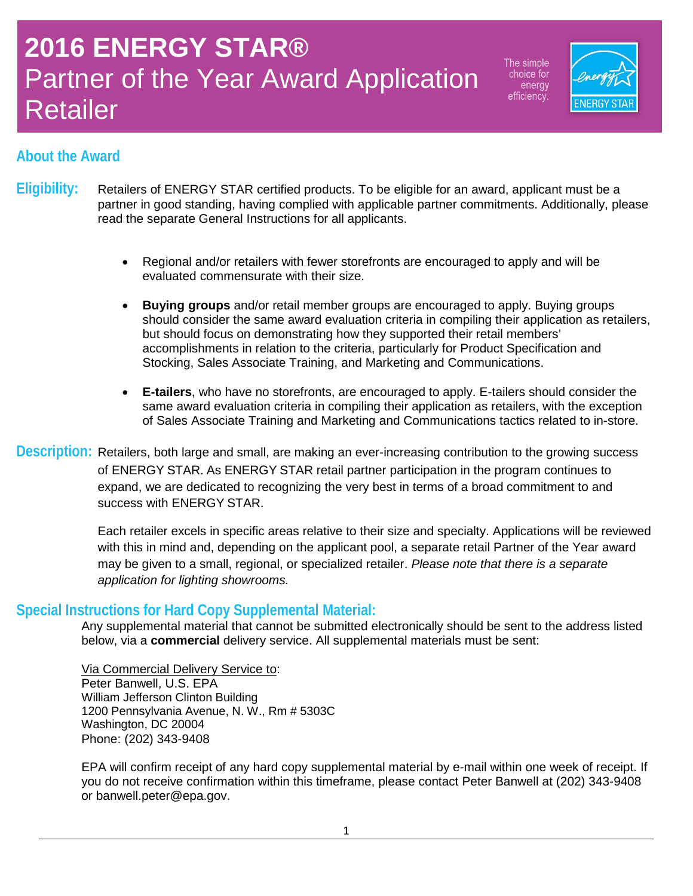The simple choice for energy efficiency.



### **About the Award**

- **Eligibility:** Retailers of ENERGY STAR certified products. To be eligible for an award, applicant must be a partner in good standing, having complied with applicable partner commitments. Additionally, please read the separate General Instructions for all applicants.
	- Regional and/or retailers with fewer storefronts are encouraged to apply and will be evaluated commensurate with their size.
	- **Buying groups** and/or retail member groups are encouraged to apply. Buying groups should consider the same award evaluation criteria in compiling their application as retailers, but should focus on demonstrating how they supported their retail members' accomplishments in relation to the criteria, particularly for Product Specification and Stocking, Sales Associate Training, and Marketing and Communications.
	- **E-tailers**, who have no storefronts, are encouraged to apply. E-tailers should consider the same award evaluation criteria in compiling their application as retailers, with the exception of Sales Associate Training and Marketing and Communications tactics related to in-store.

**Description:** Retailers, both large and small, are making an ever-increasing contribution to the growing success of ENERGY STAR. As ENERGY STAR retail partner participation in the program continues to expand, we are dedicated to recognizing the very best in terms of a broad commitment to and success with ENERGY STAR.

> Each retailer excels in specific areas relative to their size and specialty. Applications will be reviewed with this in mind and, depending on the applicant pool, a separate retail Partner of the Year award may be given to a small, regional, or specialized retailer. *Please note that there is a separate application for lighting showrooms.*

#### **Special Instructions for Hard Copy Supplemental Material:**

Any supplemental material that cannot be submitted electronically should be sent to the address listed below, via a **commercial** delivery service. All supplemental materials must be sent:

Via Commercial Delivery Service to: Peter Banwell, U.S. EPA William Jefferson Clinton Building 1200 Pennsylvania Avenue, N. W., Rm # 5303C Washington, DC 20004 Phone: (202) 343-9408

EPA will confirm receipt of any hard copy supplemental material by e-mail within one week of receipt. If you do not receive confirmation within this timeframe, please contact Peter Banwell at (202) 343-9408 or banwell.peter@epa.gov.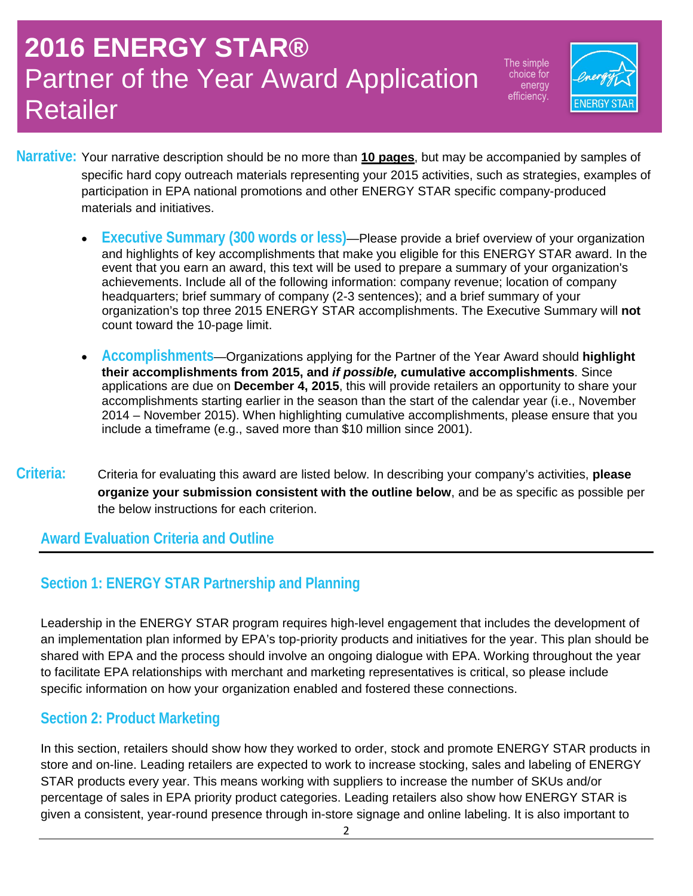The simple choice for energy efficiency.



- **Narrative:** Your narrative description should be no more than **10 pages**, but may be accompanied by samples of specific hard copy outreach materials representing your 2015 activities, such as strategies, examples of participation in EPA national promotions and other ENERGY STAR specific company-produced materials and initiatives.
	- **Executive Summary (300 words or less)**—Please provide a brief overview of your organization and highlights of key accomplishments that make you eligible for this ENERGY STAR award. In the event that you earn an award, this text will be used to prepare a summary of your organization's achievements. Include all of the following information: company revenue; location of company headquarters; brief summary of company (2-3 sentences); and a brief summary of your organization's top three 2015 ENERGY STAR accomplishments. The Executive Summary will **not** count toward the 10-page limit.
	- **Accomplishments**—Organizations applying for the Partner of the Year Award should **highlight their accomplishments from 2015, and** *if possible,* **cumulative accomplishments**. Since applications are due on **December 4, 2015**, this will provide retailers an opportunity to share your accomplishments starting earlier in the season than the start of the calendar year (i.e., November 2014 – November 2015). When highlighting cumulative accomplishments, please ensure that you include a timeframe (e.g., saved more than \$10 million since 2001).
- **Criteria:** Criteria for evaluating this award are listed below. In describing your company's activities, **please organize your submission consistent with the outline below**, and be as specific as possible per the below instructions for each criterion.

#### **Award Evaluation Criteria and Outline**

### **Section 1: ENERGY STAR Partnership and Planning**

Leadership in the ENERGY STAR program requires high-level engagement that includes the development of an implementation plan informed by EPA's top-priority products and initiatives for the year. This plan should be shared with EPA and the process should involve an ongoing dialogue with EPA. Working throughout the year to facilitate EPA relationships with merchant and marketing representatives is critical, so please include specific information on how your organization enabled and fostered these connections.

### **Section 2: Product Marketing**

In this section, retailers should show how they worked to order, stock and promote ENERGY STAR products in store and on-line. Leading retailers are expected to work to increase stocking, sales and labeling of ENERGY STAR products every year. This means working with suppliers to increase the number of SKUs and/or percentage of sales in EPA priority product categories. Leading retailers also show how ENERGY STAR is given a consistent, year-round presence through in-store signage and online labeling. It is also important to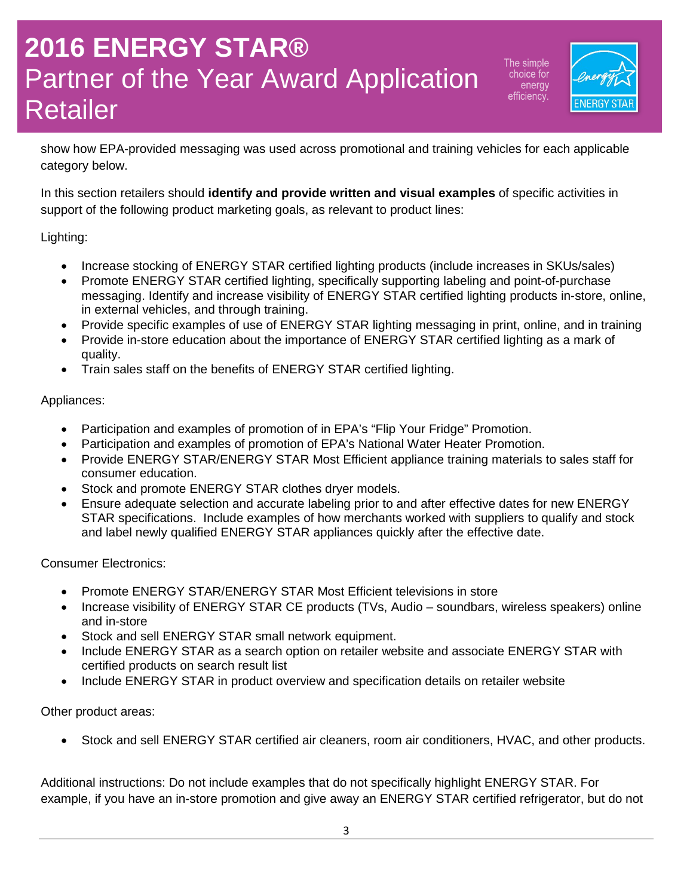The simple choice for energy efficiency.



show how EPA-provided messaging was used across promotional and training vehicles for each applicable category below.

In this section retailers should **identify and provide written and visual examples** of specific activities in support of the following product marketing goals, as relevant to product lines:

Lighting:

- Increase stocking of ENERGY STAR certified lighting products (include increases in SKUs/sales)
- Promote ENERGY STAR certified lighting, specifically supporting labeling and point-of-purchase messaging. Identify and increase visibility of ENERGY STAR certified lighting products in-store, online, in external vehicles, and through training.
- Provide specific examples of use of ENERGY STAR lighting messaging in print, online, and in training
- Provide in-store education about the importance of ENERGY STAR certified lighting as a mark of quality.
- Train sales staff on the benefits of ENERGY STAR certified lighting.

Appliances:

- Participation and examples of promotion of in EPA's "Flip Your Fridge" Promotion.
- Participation and examples of promotion of EPA's National Water Heater Promotion.
- Provide ENERGY STAR/ENERGY STAR Most Efficient appliance training materials to sales staff for consumer education.
- Stock and promote ENERGY STAR clothes dryer models.
- Ensure adequate selection and accurate labeling prior to and after effective dates for new ENERGY STAR specifications. Include examples of how merchants worked with suppliers to qualify and stock and label newly qualified ENERGY STAR appliances quickly after the effective date.

Consumer Electronics:

- Promote ENERGY STAR/ENERGY STAR Most Efficient televisions in store
- Increase visibility of ENERGY STAR CE products (TVs, Audio soundbars, wireless speakers) online and in-store
- Stock and sell ENERGY STAR small network equipment.
- Include ENERGY STAR as a search option on retailer website and associate ENERGY STAR with certified products on search result list
- Include ENERGY STAR in product overview and specification details on retailer website

Other product areas:

• Stock and sell ENERGY STAR certified air cleaners, room air conditioners, HVAC, and other products.

Additional instructions: Do not include examples that do not specifically highlight ENERGY STAR. For example, if you have an in-store promotion and give away an ENERGY STAR certified refrigerator, but do not